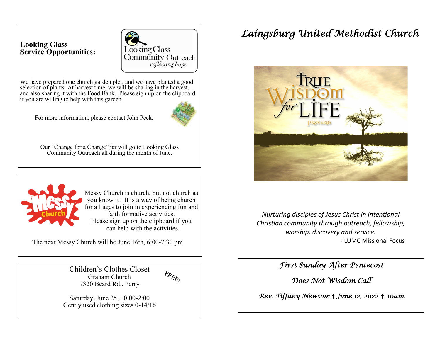## **Looking Glass Service Opportunities:**



We have prepared one church garden plot, and we have planted a good selection of plants. At harvest time, we will be sharing in the harvest, and also sharing it with the Food Bank. Please sign up on the clipboard if you are willing to help with this garden.

For more information, please contact John Peck.



Our "Change for a Change" jar will go to Looking Glass Community Outreach all during the month of June.



 Messy Church is church, but not church as you know it! It is a way of being church for all ages to join in experiencing fun and faith formative activities. Please sign up on the clipboard if you can help with the activities.

The next Messy Church will be June 16th, 6:00-7:30 pm

Children's Clothes Closet Graham Church 7320 Beard Rd., Perry

Saturday, June 25, 10:00-2:00 Gently used clothing sizes 0-14/16

# *Laingsburg United Methodist Church*



*Nurturing disciples of Jesus Christ in intentional Christian community through outreach, fellowship, worship, discovery and service.* - LUMC Missional Focus

*First Sunday After Pentecost* 

*Does Not Wisdom Call* 

*Rev. Tiffany Newsom* † *June 12, 2022* † *10am*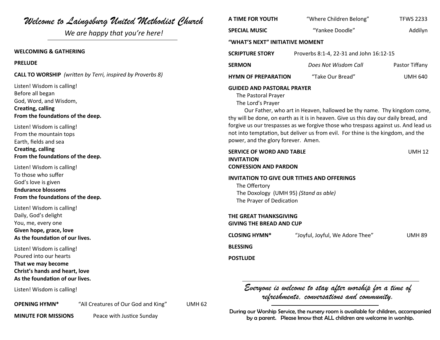| Welcome to Laingsburg United Methodist Church                                                                                              | A TIME FOR YOUTH                                                                                                                                                                                                                                                                                                                                                                                                                                                 | "Where Children Belong"                                                                               | <b>TFWS 2233</b> |
|--------------------------------------------------------------------------------------------------------------------------------------------|------------------------------------------------------------------------------------------------------------------------------------------------------------------------------------------------------------------------------------------------------------------------------------------------------------------------------------------------------------------------------------------------------------------------------------------------------------------|-------------------------------------------------------------------------------------------------------|------------------|
| We are happy that you're here!                                                                                                             | <b>SPECIAL MUSIC</b>                                                                                                                                                                                                                                                                                                                                                                                                                                             | "Yankee Doodle"                                                                                       | Addilyn          |
|                                                                                                                                            | "WHAT'S NEXT" INITIATIVE MOMENT                                                                                                                                                                                                                                                                                                                                                                                                                                  |                                                                                                       |                  |
| <b>WELCOMING &amp; GATHERING</b>                                                                                                           | <b>SCRIPTURE STORY</b><br>Proverbs 8:1-4, 22-31 and John 16:12-15                                                                                                                                                                                                                                                                                                                                                                                                |                                                                                                       |                  |
| <b>PRELUDE</b>                                                                                                                             | <b>SERMON</b>                                                                                                                                                                                                                                                                                                                                                                                                                                                    | Does Not Wisdom Call                                                                                  | Pastor Tiffany   |
| <b>CALL TO WORSHIP</b> (written by Terri, inspired by Proverbs 8)                                                                          | <b>HYMN OF PREPARATION</b>                                                                                                                                                                                                                                                                                                                                                                                                                                       | "Take Our Bread"                                                                                      | <b>UMH 640</b>   |
| Listen! Wisdom is calling!<br>Before all began<br>God, Word, and Wisdom,<br><b>Creating, calling</b><br>From the foundations of the deep.  | <b>GUIDED AND PASTORAL PRAYER</b><br>The Pastoral Prayer<br>The Lord's Prayer<br>Our Father, who art in Heaven, hallowed be thy name. Thy kingdom come,<br>thy will be done, on earth as it is in heaven. Give us this day our daily bread, and<br>forgive us our trespasses as we forgive those who trespass against us. And lead us<br>not into temptation, but deliver us from evil. For thine is the kingdom, and the<br>power, and the glory forever. Amen. |                                                                                                       |                  |
| Listen! Wisdom is calling!<br>From the mountain tops<br>Earth, fields and sea                                                              |                                                                                                                                                                                                                                                                                                                                                                                                                                                                  |                                                                                                       |                  |
| <b>Creating, calling</b><br>From the foundations of the deep.                                                                              | <b>SERVICE OF WORD AND TABLE</b><br><b>INVITATION</b>                                                                                                                                                                                                                                                                                                                                                                                                            |                                                                                                       | <b>UMH 12</b>    |
| Listen! Wisdom is calling!<br>To those who suffer<br>God's love is given<br><b>Endurance blossoms</b><br>From the foundations of the deep. | <b>CONFESSION AND PARDON</b><br>INVITATION TO GIVE OUR TITHES AND OFFERINGS<br>The Offertory<br>The Doxology (UMH 95) (Stand as able)<br>The Prayer of Dedication                                                                                                                                                                                                                                                                                                |                                                                                                       |                  |
| Listen! Wisdom is calling!<br>Daily, God's delight<br>You, me, every one<br>Given hope, grace, love<br>As the foundation of our lives.     | THE GREAT THANKSGIVING<br><b>GIVING THE BREAD AND CUP</b><br><b>CLOSING HYMN*</b><br>"Joyful, Joyful, We Adore Thee"<br><b>UMH 89</b>                                                                                                                                                                                                                                                                                                                            |                                                                                                       |                  |
| Listen! Wisdom is calling!                                                                                                                 | <b>BLESSING</b>                                                                                                                                                                                                                                                                                                                                                                                                                                                  |                                                                                                       |                  |
| Poured into our hearts<br>That we may become<br>Christ's hands and heart, love<br>As the foundation of our lives.                          | <b>POSTLUDE</b>                                                                                                                                                                                                                                                                                                                                                                                                                                                  |                                                                                                       |                  |
| Listen! Wisdom is calling!                                                                                                                 |                                                                                                                                                                                                                                                                                                                                                                                                                                                                  | Everyone is welcome to stay after worship for a time of<br>retreshments, conversations and community, |                  |

**OPENING HYMN\*** "All Creatures of Our God and King" UMH 62

**MINUTE FOR MISSIONS** Peace with Justice Sunday

*refreshments, conversations and community.*

During our Worship Service, the nursery room is available for children, accompanied by a parent. Please know that ALL children are welcome in worship.